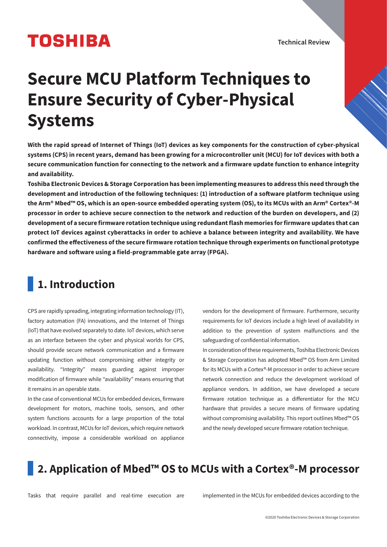# **TOSHIBA**

Technical Review

# **Secure MCU Platform Techniques to Ensure Security of Cyber-Physical Systems**

**With the rapid spread of Internet of Things (IoT) devices as key components for the construction of cyber-physical systems (CPS) in recent years, demand has been growing for a microcontroller unit (MCU) for IoT devices with both a secure communication function for connecting to the network and a firmware update function to enhance integrity and availability.** 

**Toshiba Electronic Devices & Storage Corporation has been implementing measures to address this need through the**  development and introduction of the following techniques: (1) introduction of a software platform technique using **the Arm® Mbed™ OS, which is an open-source embedded operating system (OS), to its MCUs with an Arm® Cortex®-M processor in order to achieve secure connection to the network and reduction of the burden on developers, and (2) development of a secure firmware rotation technique using redundant flash memories for firmware updates that can protect IoT devices against cyberattacks in order to achieve a balance between integrity and availability. We have confirmed the eectiveness of the secure firmware rotation technique through experiments on functional prototype**  hardware and software using a field-programmable gate array (FPGA).

# **1. Introduction**

CPS are rapidly spreading, integrating information technology (IT), factory automation (FA) innovations, and the Internet of Things (IoT) that have evolved separately to date. IoT devices, which serve as an interface between the cyber and physical worlds for CPS, should provide secure network communication and a firmware updating function without compromising either integrity or availability. "Integrity" means guarding against improper modification of firmware while "availability" means ensuring that it remains in an operable state.

In the case of conventional MCUs for embedded devices, firmware development for motors, machine tools, sensors, and other system functions accounts for a large proportion of the total workload. In contrast, MCUs for IoT devices, which require network connectivity, impose a considerable workload on appliance

vendors for the development of firmware. Furthermore, security requirements for IoT devices include a high level of availability in addition to the prevention of system malfunctions and the safeguarding of confidential information.

In consideration of these requirements, Toshiba Electronic Devices & Storage Corporation has adopted Mbed™ OS from Arm Limited for its MCUs with a Cortex®-M processor in order to achieve secure network connection and reduce the development workload of appliance vendors. In addition, we have developed a secure firmware rotation technique as a differentiator for the MCU hardware that provides a secure means of firmware updating without compromising availability. This report outlines Mbed™ OS and the newly developed secure firmware rotation technique.

# **2. Application of Mbed™ OS to MCUs with a Cortex®-M processor**

Tasks that require parallel and real-time execution are implemented in the MCUs for embedded devices according to the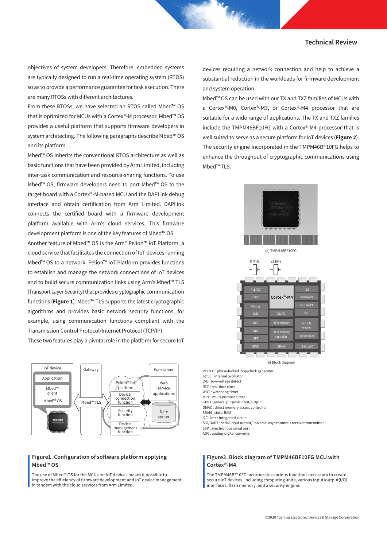objectives of system developers. Therefore, embedded systems are typically designed to run a real-time operating system (RTOS) so as to provide a performance guarantee for task execution. There are many RTOSs with different architectures.

From these RTOSs, we have selected an RTOS called Mbed™ OS that is optimized for MCUs with a Cortex®-M processor. Mbed™ OS provides a useful platform that supports firmware developers in system architecting. The following paragraphs describe Mbed™ OS and its platform.

Mbed™ OS inherits the conventional RTOS architecture as well as basic functions that have been provided by Arm Limited, including inter-task communication and resource-sharing functions. To use Mbed™ OS, firmware developers need to port Mbed™ OS to the target board with a Cortex®-M-based MCU and the DAPLink debug interface and obtain certification from Arm Limited. DAPLink connects the certified board with a firmware development platform available with Arm's cloud services. This firmware development platform is one of the key features of Mbed™ OS.

Another feature of Mbed™ OS is the Arm® Pelion™ IoT Platform, a cloud service that facilitates the connection of IoT devices running Mbed™ OS to a network. Pelion™ IoT Platform provides functions to establish and manage the network connections of IoT devices and to build secure communication links using Arm's Mbed™ TLS (Transport Layer Security) that provides cryptographic communication functions (**Figure 1**). Mbed™ TLS supports the latest cryptographic algorithms and provides basic network security functions, for example, using communication functions compliant with the Transmission Control Protocol/Internet Protocol (TCP/IP).

These two features play a pivotal role in the platform for secure IoT



#### Figure1. Configuration of software platform applying Mbed™ OS

The use of Mbed™ OS for the MCUs for IoT devices makes it possible to improve the efficiency of firmware development and IoT device management in tandem with the cloud services from Arm Limited.

devices requiring a network connection and help to achieve a substantial reduction in the workloads for firmware development and system operation.

Mbed™ OS can be used with our TX and TXZ families of MCUs with a Cortex®-M0, Cortex®-M3, or Cortex®-M4 processor that are suitable for a wide range of applications. The TX and TXZ families include the TMPM46BF10FG with a Cortex®-M4 processor that is well suited to serve as a secure platform for IoT devices (**Figure 2**). The security engine incorporated in the TMPM46BF10FG helps to enhance the throughput of cryptographic communications using Mbed™ TLS.



PLL/CG : phase-locked loop/clock generator I-OSC : internal oscillator LVD : low-voltage detect RTC : real-time clock WDT : watchdog time MPT : multi-purpose timer GPIO : general purpose input/output DMAC : direct memory access controller SRAM : static RAM I2C : inter-integrated circuit SIO/UART : serial input output/universal asynchronous receiver transmitter SSP : synchronous serial port ADC : analog-digital converter

### Figure2. Block diagram of TMPM46BF10FG MCU with Cortex®-M4

The TMPM46BF10FG incorporates various functions necessary to create secure IoT devices, including computing units, various input/output(I/O) interfaces, flash memory, and a security engine.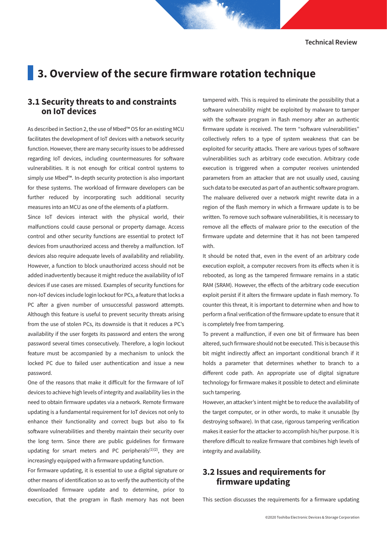# **3. Overview of the secure firmware rotation technique**

# **3.1 Security threats to and constraints on IoT devices**

As described in Section 2, the use of Mbed™ OS for an existing MCU facilitates the development of IoT devices with a network security function. However, there are many security issues to be addressed regarding IoT devices, including countermeasures for software vulnerabilities. It is not enough for critical control systems to simply use Mbed™. In-depth security protection is also important for these systems. The workload of firmware developers can be further reduced by incorporating such additional security measures into an MCU as one of the elements of a platform.

Since IoT devices interact with the physical world, their malfunctions could cause personal or property damage. Access control and other security functions are essential to protect IoT devices from unauthorized access and thereby a malfunction. IoT devices also require adequate levels of availability and reliability. However, a function to block unauthorized access should not be added inadvertently because it might reduce the availability of IoT devices if use cases are missed. Examples of security functions for non-IoT devices include login lockout for PCs, a feature that locks a PC after a given number of unsuccessful password attempts. Although this feature is useful to prevent security threats arising from the use of stolen PCs, its downside is that it reduces a PC's availability if the user forgets its password and enters the wrong password several times consecutively. Therefore, a login lockout feature must be accompanied by a mechanism to unlock the locked PC due to failed user authentication and issue a new password.

One of the reasons that make it difficult for the firmware of IoT devices to achieve high levels of integrity and availability lies in the need to obtain firmware updates via a network. Remote firmware updating is a fundamental requirement for IoT devices not only to enhance their functionality and correct bugs but also to fix software vulnerabilities and thereby maintain their security over the long term. Since there are public guidelines for firmware updating for smart meters and PC peripherals $(1)(2)$ , they are increasingly equipped with a firmware updating function.

For firmware updating, it is essential to use a digital signature or other means of identification so as to verify the authenticity of the downloaded firmware update and to determine, prior to execution, that the program in flash memory has not been tampered with. This is required to eliminate the possibility that a software vulnerability might be exploited by malware to tamper with the software program in flash memory after an authentic firmware update is received. The term "software vulnerabilities" collectively refers to a type of system weakness that can be exploited for security attacks. There are various types of software vulnerabilities such as arbitrary code execution. Arbitrary code execution is triggered when a computer receives unintended parameters from an attacker that are not usually used, causing such data to be executed as part of an authentic software program. The malware delivered over a network might rewrite data in a region of the flash memory in which a firmware update is to be written. To remove such software vulnerabilities, it is necessary to remove all the effects of malware prior to the execution of the firmware update and determine that it has not been tampered with.

It should be noted that, even in the event of an arbitrary code execution exploit, a computer recovers from its effects when it is rebooted, as long as the tampered firmware remains in a static RAM (SRAM). However, the effects of the arbitrary code execution exploit persist if it alters the firmware update in flash memory. To counter this threat, it is important to determine when and how to perform a final verification of the firmware update to ensure that it is completely free from tampering.

To prevent a malfunction, if even one bit of firmware has been altered, such firmware should not be executed. This is because this bit might indirectly affect an important conditional branch if it holds a parameter that determines whether to branch to a different code path. An appropriate use of digital signature technology for firmware makes it possible to detect and eliminate such tampering.

However, an attacker's intent might be to reduce the availability of the target computer, or in other words, to make it unusable (by destroying software). In that case, rigorous tampering verification makes it easier for the attacker to accomplish his/her purpose. It is therefore difficult to realize firmware that combines high levels of integrity and availability.

# **3.2 Issues and requirements for firmware updating**

This section discusses the requirements for a firmware updating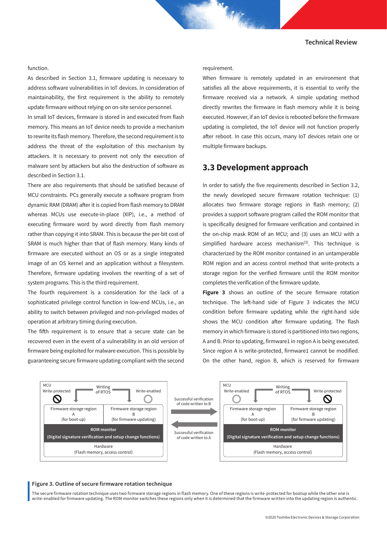#### function.

As described in Section 3.1, firmware updating is necessary to address software vulnerabilities in IoT devices. In consideration of maintainability, the first requirement is the ability to remotely update firmware without relying on on-site service personnel.

In small IoT devices, firmware is stored in and executed from flash memory. This means an IoT device needs to provide a mechanism to rewrite its flash memory. Therefore, the second requirement is to address the threat of the exploitation of this mechanism by attackers. It is necessary to prevent not only the execution of malware sent by attackers but also the destruction of software as described in Section 3.1.

There are also requirements that should be satisfied because of MCU constraints. PCs generally execute a software program from dynamic RAM (DRAM) after it is copied from flash memory to DRAM whereas MCUs use execute-in-place (XIP), i.e., a method of executing firmware word by word directly from flash memory rather than copying it into SRAM. This is because the per-bit cost of SRAM is much higher than that of flash memory. Many kinds of firmware are executed without an OS or as a single integrated image of an OS kernel and an application without a filesystem. Therefore, firmware updating involves the rewriting of a set of system programs. This is the third requirement.

The fourth requirement is a consideration for the lack of a sophisticated privilege control function in low-end MCUs, i.e., an ability to switch between privileged and non-privileged modes of operation at arbitrary timing during execution.

The fifth requirement is to ensure that a secure state can be recovered even in the event of a vulnerability in an old version of firmware being exploited for malware execution. This is possible by guaranteeing secure firmware updating compliant with the second

requirement.

When firmware is remotely updated in an environment that satisfies all the above requirements, it is essential to verify the firmware received via a network. A simple updating method directly rewrites the firmware in flash memory while it is being executed. However, if an IoT device is rebooted before the firmware updating is completed, the IoT device will not function properly after reboot. In case this occurs, many IoT devices retain one or multiple firmware backups.

## **3.3 Development approach**

In order to satisfy the five requirements described in Section 3.2, the newly developed secure firmware rotation technique: (1) allocates two firmware storage regions in flash memory; (2) provides a support software program called the ROM monitor that is specifically designed for firmware verification and contained in the on-chip mask ROM of an MCU; and (3) uses an MCU with a simplified hardware access mechanism $(3)$ . This technique is characterized by the ROM monitor contained in an untamperable ROM region and an access control method that write-protects a storage region for the verified firmware until the ROM monitor completes the verification of the firmware update.

**Figure 3** shows an outline of the secure firmware rotation technique. The left-hand side of Figure 3 indicates the MCU condition before firmware updating while the right-hand side shows the MCU condition after firmware updating. The flash memory in which firmware is stored is partitioned into two regions, A and B. Prior to updating, firmware1 in region A is being executed. Since region A is write-protected, firmware1 cannot be modified. On the other hand, region B, which is reserved for firmware



#### Figure 3. Outline of secure firmware rotation technique

The secure firmware rotation technique uses two firmware storage regions in flash memory. One of these regions is write-protected for bootup while the other one is write-enabled for firmware updating. The ROM monitor switches these regions only when it is determined that the firmware written into the updating region is authentic.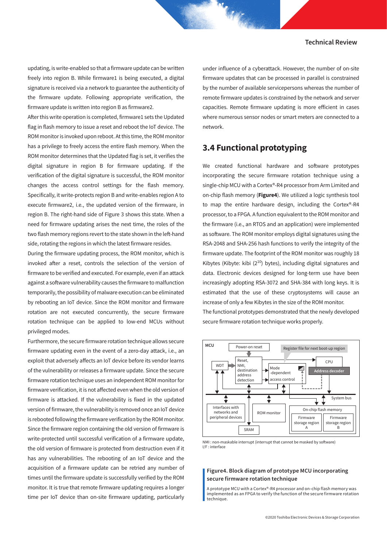updating, is write-enabled so that a firmware update can be written freely into region B. While firmware1 is being executed, a digital signature is received via a network to guarantee the authenticity of the firmware update. Following appropriate verification, the firmware update is written into region B as firmware2.

After this write operation is completed, firmware1 sets the Updated flag in flash memory to issue a reset and reboot the IoT device. The ROM monitor is invoked upon reboot. At this time, the ROM monitor has a privilege to freely access the entire flash memory. When the ROM monitor determines that the Updated flag is set, it verifies the digital signature in region B for firmware updating. If the verification of the digital signature is successful, the ROM monitor changes the access control settings for the flash memory. Specifically, it write-protects region B and write-enables region A to execute firmware2, i.e., the updated version of the firmware, in region B. The right-hand side of Figure 3 shows this state. When a need for firmware updating arises the next time, the roles of the two flash memory regions revert to the state shown in the left-hand side, rotating the regions in which the latest firmware resides.

During the firmware updating process, the ROM monitor, which is invoked after a reset, controls the selection of the version of firmware to be verified and executed. For example, even if an attack against a software vulnerability causes the firmware to malfunction temporarily, the possibility of malware execution can be eliminated by rebooting an IoT device. Since the ROM monitor and firmware rotation are not executed concurrently, the secure firmware rotation technique can be applied to low-end MCUs without privileged modes.

Furthermore, the secure firmware rotation technique allows secure firmware updating even in the event of a zero-day attack, i.e., an exploit that adversely affects an IoT device before its vendor learns of the vulnerability or releases a firmware update. Since the secure firmware rotation technique uses an independent ROM monitor for firmware verification, it is not affected even when the old version of firmware is attacked. If the vulnerability is fixed in the updated version of firmware, the vulnerability is removed once an IoT device is rebooted following the firmware verification by the ROM monitor. Since the firmware region containing the old version of firmware is write-protected until successful verification of a firmware update, the old version of firmware is protected from destruction even if it has any vulnerabilities. The rebooting of an IoT device and the acquisition of a firmware update can be retried any number of times until the firmware update is successfully verified by the ROM monitor. It is true that remote firmware updating requires a longer time per IoT device than on-site firmware updating, particularly under influence of a cyberattack. However, the number of on-site firmware updates that can be processed in parallel is constrained by the number of available servicepersons whereas the number of remote firmware updates is constrained by the network and server capacities. Remote firmware updating is more efficient in cases where numerous sensor nodes or smart meters are connected to a network.

# **3.4 Functional prototyping**

We created functional hardware and software prototypes incorporating the secure firmware rotation technique using a single-chip MCU with a Cortex®-R4 processor from Arm Limited and on-chip flash memory (**Figure4**). We utilized a logic synthesis tool to map the entire hardware design, including the Cortex®-R4 processor, to a FPGA. A function equivalent to the ROM monitor and the firmware (i.e., an RTOS and an application) were implemented as software. The ROM monitor employs digital signatures using the RSA-2048 and SHA-256 hash functions to verify the integrity of the firmware update. The footprint of the ROM monitor was roughly 18 Kibytes (Kibyte: kibi  $(2^{10})$  bytes), including digital signatures and data. Electronic devices designed for long-term use have been increasingly adopting RSA-3072 and SHA-384 with long keys. It is estimated that the use of these cryptosystems will cause an increase of only a few Kibytes in the size of the ROM monitor.

The functional prototypes demonstrated that the newly developed secure firmware rotation technique works properly.



NMI : non-maskable interrupt (interrupt that cannot be masked by software) I/F : interface

### Figure4. Block diagram of prototype MCU incorporating secure firmware rotation technique

A prototype MCU with a Cortex®-R4 processor and on-chip flash memory was implemented as an FPGA to verify the function of the secure firmware rotation technique.